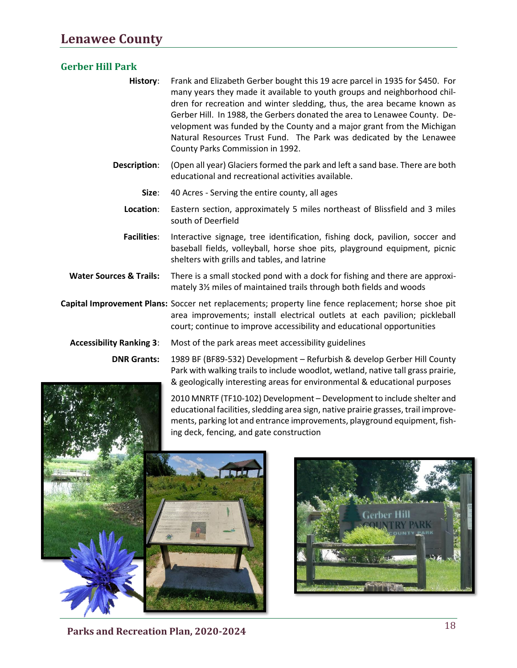## **Gerber Hill Park**

| History: | Frank and Elizabeth Gerber bought this 19 acre parcel in 1935 for \$450. For |
|----------|------------------------------------------------------------------------------|
|          | many years they made it available to youth groups and neighborhood chil-     |
|          | dren for recreation and winter sledding, thus, the area became known as      |
|          | Gerber Hill. In 1988, the Gerbers donated the area to Lenawee County. De-    |
|          | velopment was funded by the County and a major grant from the Michigan       |
|          | Natural Resources Trust Fund. The Park was dedicated by the Lenawee          |
|          | County Parks Commission in 1992.                                             |

- **Description**: (Open all year) Glaciers formed the park and left a sand base. There are both educational and recreational activities available.
	- **Size**: 40 Acres Serving the entire county, all ages
	- **Location**: Eastern section, approximately 5 miles northeast of Blissfield and 3 miles south of Deerfield
- **Facilities**: Interactive signage, tree identification, fishing dock, pavilion, soccer and baseball fields, volleyball, horse shoe pits, playground equipment, picnic shelters with grills and tables, and latrine
- **Water Sources & Trails:** There is a small stocked pond with a dock for fishing and there are approximately 3½ miles of maintained trails through both fields and woods

**Capital Improvement Plans:** Soccer net replacements; property line fence replacement; horse shoe pit area improvements; install electrical outlets at each pavilion; pickleball court; continue to improve accessibility and educational opportunities

**Accessibility Ranking 3**: Most of the park areas meet accessibility guidelines

**DNR Grants:** 1989 BF (BF89-532) Development – Refurbish & develop Gerber Hill County Park with walking trails to include woodlot, wetland, native tall grass prairie, & geologically interesting areas for environmental & educational purposes

> 2010 MNRTF (TF10-102) Development – Development to include shelter and educational facilities, sledding area sign, native prairie grasses, trail improvements, parking lot and entrance improvements, playground equipment, fishing deck, fencing, and gate construction





<sup>18</sup> **Parks and Recreation Plan, 2020-2024**